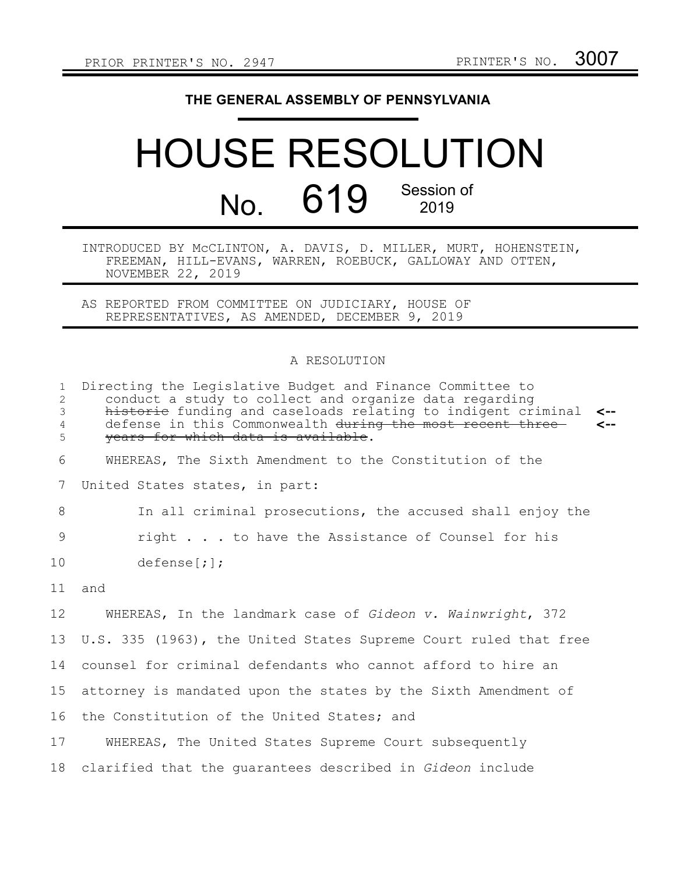## **THE GENERAL ASSEMBLY OF PENNSYLVANIA**

## HOUSE RESOLUTION No. 619 Session of 2019

INTRODUCED BY McCLINTON, A. DAVIS, D. MILLER, MURT, HOHENSTEIN, FREEMAN, HILL-EVANS, WARREN, ROEBUCK, GALLOWAY AND OTTEN, NOVEMBER 22, 2019

AS REPORTED FROM COMMITTEE ON JUDICIARY, HOUSE OF REPRESENTATIVES, AS AMENDED, DECEMBER 9, 2019

## A RESOLUTION

| $\mathbf{1}$<br>2<br>$\mathfrak{Z}$<br>$\overline{4}$<br>5 | Directing the Legislative Budget and Finance Committee to<br>conduct a study to collect and organize data regarding<br>historic funding and caseloads relating to indigent criminal<br>$\leftarrow$<br>$\leftarrow$<br>defense in this Commonwealth during the most recent three<br>years for which data is available. |
|------------------------------------------------------------|------------------------------------------------------------------------------------------------------------------------------------------------------------------------------------------------------------------------------------------------------------------------------------------------------------------------|
| 6                                                          | WHEREAS, The Sixth Amendment to the Constitution of the                                                                                                                                                                                                                                                                |
| 7                                                          | United States states, in part:                                                                                                                                                                                                                                                                                         |
| 8                                                          | In all criminal prosecutions, the accused shall enjoy the                                                                                                                                                                                                                                                              |
| 9                                                          | right to have the Assistance of Counsel for his                                                                                                                                                                                                                                                                        |
| 10                                                         | defense[i];                                                                                                                                                                                                                                                                                                            |
| 11                                                         | and                                                                                                                                                                                                                                                                                                                    |
| 12                                                         | WHEREAS, In the landmark case of Gideon v. Wainwright, 372                                                                                                                                                                                                                                                             |
| 13                                                         | U.S. 335 (1963), the United States Supreme Court ruled that free                                                                                                                                                                                                                                                       |
| 14                                                         | counsel for criminal defendants who cannot afford to hire an                                                                                                                                                                                                                                                           |
| 15                                                         | attorney is mandated upon the states by the Sixth Amendment of                                                                                                                                                                                                                                                         |
| 16                                                         | the Constitution of the United States; and                                                                                                                                                                                                                                                                             |
| 17                                                         | WHEREAS, The United States Supreme Court subsequently                                                                                                                                                                                                                                                                  |
| 18                                                         | clarified that the quarantees described in Gideon include                                                                                                                                                                                                                                                              |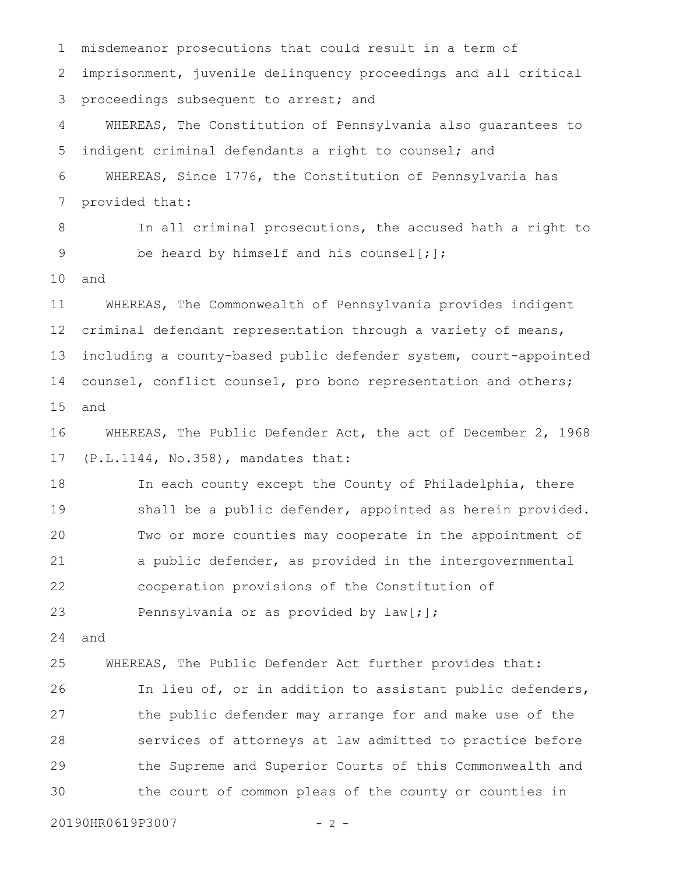misdemeanor prosecutions that could result in a term of imprisonment, juvenile delinquency proceedings and all critical proceedings subsequent to arrest; and WHEREAS, The Constitution of Pennsylvania also guarantees to indigent criminal defendants a right to counsel; and WHEREAS, Since 1776, the Constitution of Pennsylvania has provided that: In all criminal prosecutions, the accused hath a right to be heard by himself and his counsel[;]; and WHEREAS, The Commonwealth of Pennsylvania provides indigent criminal defendant representation through a variety of means, including a county-based public defender system, court-appointed counsel, conflict counsel, pro bono representation and others; and WHEREAS, The Public Defender Act, the act of December 2, 1968 (P.L.1144, No.358), mandates that: In each county except the County of Philadelphia, there shall be a public defender, appointed as herein provided. Two or more counties may cooperate in the appointment of a public defender, as provided in the intergovernmental cooperation provisions of the Constitution of Pennsylvania or as provided by law[;]; and WHEREAS, The Public Defender Act further provides that: In lieu of, or in addition to assistant public defenders, the public defender may arrange for and make use of the services of attorneys at law admitted to practice before the Supreme and Superior Courts of this Commonwealth and the court of common pleas of the county or counties in 1 2 3 4 5 6 7 8 9 10 11 12 13 14 15 16 17 18 19 20 21 22 23 24 25 26 27 28 29 30

20190HR0619P3007 - 2 -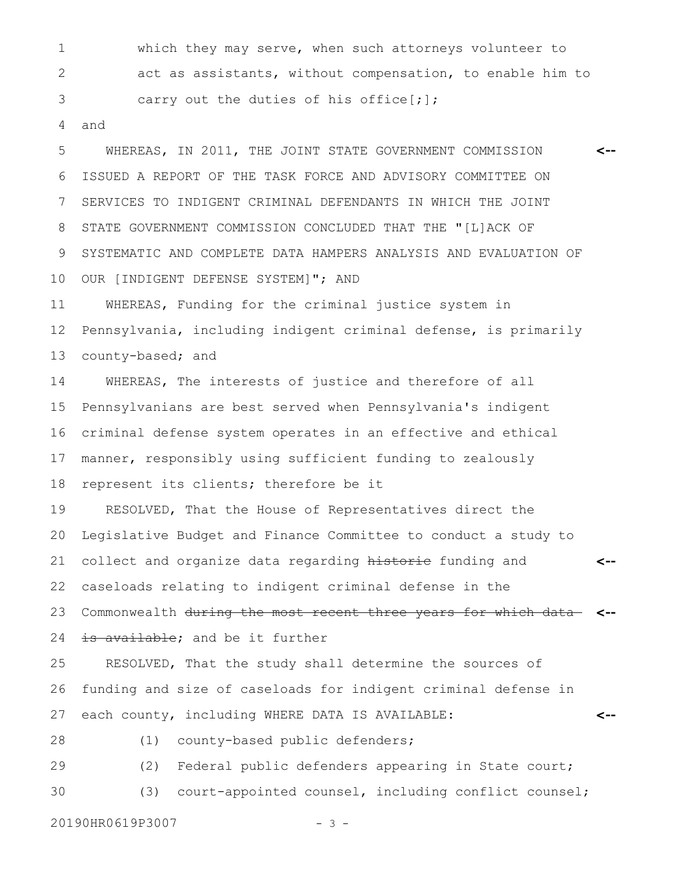which they may serve, when such attorneys volunteer to act as assistants, without compensation, to enable him to carry out the duties of his office[;]; 1 2 3

and 4

WHEREAS, IN 2011, THE JOINT STATE GOVERNMENT COMMISSION ISSUED A REPORT OF THE TASK FORCE AND ADVISORY COMMITTEE ON SERVICES TO INDIGENT CRIMINAL DEFENDANTS IN WHICH THE JOINT STATE GOVERNMENT COMMISSION CONCLUDED THAT THE "[L]ACK OF SYSTEMATIC AND COMPLETE DATA HAMPERS ANALYSIS AND EVALUATION OF OUR [INDIGENT DEFENSE SYSTEM]"; AND **<--** 5 6 7 8 9 10

WHEREAS, Funding for the criminal justice system in Pennsylvania, including indigent criminal defense, is primarily county-based; and 11 12 13

WHEREAS, The interests of justice and therefore of all Pennsylvanians are best served when Pennsylvania's indigent criminal defense system operates in an effective and ethical manner, responsibly using sufficient funding to zealously represent its clients; therefore be it 14 15 16 17 18

RESOLVED, That the House of Representatives direct the Legislative Budget and Finance Committee to conduct a study to collect and organize data regarding historic funding and caseloads relating to indigent criminal defense in the Commonwealth during the most recent three years for which data **<-- <--** 19 20 21 22 23

is available; and be it further 24

RESOLVED, That the study shall determine the sources of funding and size of caseloads for indigent criminal defense in each county, including WHERE DATA IS AVAILABLE: **<--** 25 26 27

(1) county-based public defenders; 28

(2) Federal public defenders appearing in State court; (3) court-appointed counsel, including conflict counsel; 29 30

20190HR0619P3007 - 3 -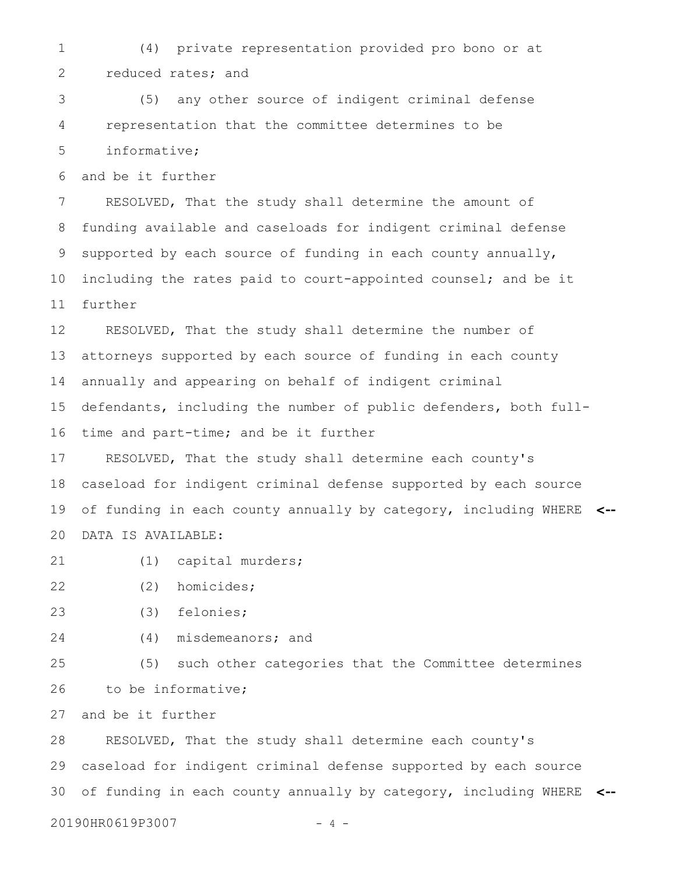(4) private representation provided pro bono or at reduced rates; and 1 2

(5) any other source of indigent criminal defense representation that the committee determines to be informative; 3 4 5

and be it further 6

RESOLVED, That the study shall determine the amount of funding available and caseloads for indigent criminal defense supported by each source of funding in each county annually, including the rates paid to court-appointed counsel; and be it further 7 8 9 10 11

RESOLVED, That the study shall determine the number of attorneys supported by each source of funding in each county annually and appearing on behalf of indigent criminal defendants, including the number of public defenders, both fulltime and part-time; and be it further 12 13 14 15 16

RESOLVED, That the study shall determine each county's caseload for indigent criminal defense supported by each source of funding in each county annually by category, including WHERE **<--** DATA IS AVAILABLE: 17 18 19 20

(1) capital murders; 21

(2) homicides; 22

- (3) felonies; 23
- (4) misdemeanors; and 24

(5) such other categories that the Committee determines to be informative; 25 26

and be it further 27

RESOLVED, That the study shall determine each county's caseload for indigent criminal defense supported by each source of funding in each county annually by category, including WHERE **<--** 28 29 30

20190HR0619P3007 - 4 -